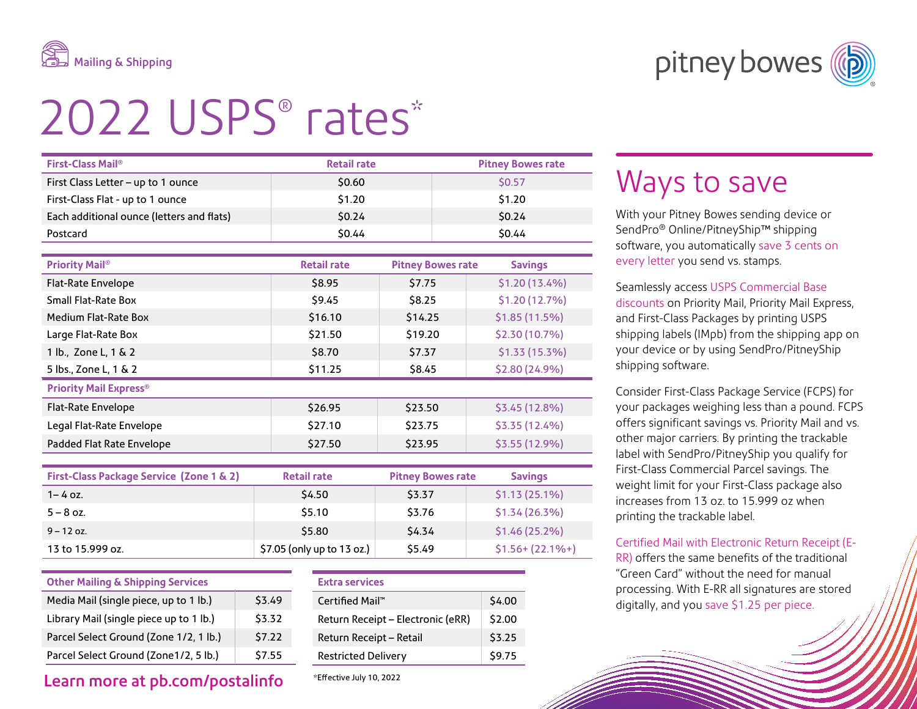

pitney bowes (

# 2022 USPS® rates\*

| First-Class Mail <sup>®</sup>             | <b>Retail rate</b> |                          | <b>Pitney Bowes rate</b> |  |  |
|-------------------------------------------|--------------------|--------------------------|--------------------------|--|--|
| First Class Letter - up to 1 ounce        | \$0.60             |                          | \$0.57                   |  |  |
| First-Class Flat - up to 1 ounce          | \$1.20             |                          | \$1.20                   |  |  |
| Each additional ounce (letters and flats) | \$0.24             |                          | \$0.24                   |  |  |
| Postcard                                  | 50.44              |                          | \$0.44                   |  |  |
|                                           |                    |                          |                          |  |  |
| <b>Priority Mail®</b>                     | <b>Retail rate</b> | <b>Pitney Bowes rate</b> | <b>Savings</b>           |  |  |
| Flat-Rate Envelope                        | \$8.95             | \$7.75                   | \$1.20 (13.4%)           |  |  |
| <b>Small Flat-Rate Box</b>                | \$9.45             | \$8.25                   | \$1.20 (12.7%)           |  |  |
| Medium Flat-Rate Box                      |                    |                          |                          |  |  |
|                                           | \$16.10            | \$14.25                  | \$1.85(11.5%)            |  |  |
| Large Flat-Rate Box                       | \$21.50            | \$19.20                  | \$2.30 (10.7%)           |  |  |
| 1 lb., Zone L, 1 & 2                      | \$8.70             | \$7.37                   | \$1.33 (15.3%)           |  |  |

| \$11.25                       | \$8.45  | \$2.80 (24.9%) |  |  |  |
|-------------------------------|---------|----------------|--|--|--|
| <b>Priority Mail Express®</b> |         |                |  |  |  |
| \$26.95                       | \$23.50 | \$3.45(12.8%)  |  |  |  |
| \$27.10                       | \$23.75 | \$3.35(12.4%)  |  |  |  |
| \$27.50                       | \$23.95 | \$3.55 (12.9%) |  |  |  |
|                               |         |                |  |  |  |

| First-Class Package Service (Zone 1 & 2) | <b>Retail rate</b>         | <b>Pitney Bowes rate</b> | <b>Savings</b>       |
|------------------------------------------|----------------------------|--------------------------|----------------------|
| $1 - 4$ oz.                              | \$4.50                     | \$3.37                   | \$1.13(25.1%)        |
| $5 - 8$ oz.                              | \$5.10                     | \$3.76                   | $$1.34(26.3\%)$      |
| $9 - 12$ oz.                             | \$5.80                     | \$4.34                   | \$1.46(25.2%)        |
| 13 to 15.999 oz.                         | \$7.05 (only up to 13 oz.) | \$5.49                   | $$1.56 + (22.1\% +)$ |

| <b>Other Mailing &amp; Shipping Services</b> |        |  |  |  |
|----------------------------------------------|--------|--|--|--|
| Media Mail (single piece, up to 1 lb.)       | \$3.49 |  |  |  |
| Library Mail (single piece up to 1 lb.)      | \$3.32 |  |  |  |
| Parcel Select Ground (Zone 1/2, 1 lb.)       | \$7.22 |  |  |  |
| Parcel Select Ground (Zone1/2, 5 lb.)        | \$7.55 |  |  |  |

### Learn more at pb.com/postalinfo

#### **Extra services**

| $Centified$ Mail <sup>"</sup>     | \$4.00 |
|-----------------------------------|--------|
| Return Receipt - Electronic (eRR) | \$2.00 |
| Return Receipt - Retail           | \$3.25 |
| <b>Restricted Delivery</b>        | \$9.75 |
|                                   |        |

#### \* Effective July 10, 2022

## Ways to save

With your Pitney Bowes sending device or SendPro® Online/PitneyShip™ shipping software, you automatically save 3 cents on every letter you send vs. stamps.

Seamlessly access USPS Commercial Base discounts on Priority Mail, Priority Mail Express, and First-Class Packages by printing USPS shipping labels (IMpb) from the shipping app on your device or by using SendPro/PitneyShip shipping software.

Consider First-Class Package Service (FCPS) for your packages weighing less than a pound. FCPS offers significant savings vs. Priority Mail and vs. other major carriers. By printing the trackable label with SendPro/PitneyShip you qualify for First-Class Commercial Parcel savings. The weight limit for your First-Class package also increases from 13 oz. to 15.999 oz when printing the trackable label.

Certified Mail with Electronic Return Receipt (E-RR) offers the same benefits of the traditional "Green Card" without the need for manual processing. With E-RR all signatures are stored

digitally, and you save \$1.25 per piece.